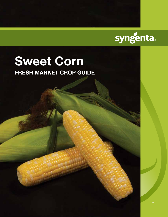# syngenta.

# Sweet Corn FRESH MARKET CROP GUIDE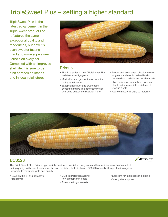## TripleSweet Plus – setting a higher standard

TripleSweet Plus is the latest advancement in the TripleSweet product line. It features the same exceptional quality and tenderness, but now it's even sweeter tasting thanks to more supersweet kernels on every ear. Combined with an improved shelf life, it is sure to be a hit at roadside stands and in local retail stores.



#### Primus

- First in a series of new TripleSweet Plus varieties from Syngenta
- Marks the next generation of superior eating-quality corn
- Exceptional flavor and sweetness exceed standard TripleSweet varieties and bring customers back for more
- Tender and extra sweet bi-color kernels, long ears and medium-sized husks preferred for roadside and local markets
- High resistance to southern corn leaf blight and intermediate resistance to Stewart's wilt
- Approximately 81 days to maturity



#### BC0528



This TripleSweet Plus, Primus-type variety produces consistent, long ears and tender juicy kernels of excellent eating quality. With insect resistance through the Attribute trait stacks, BC0528 offers built-in protection against key pests to maximize yield and quality.

- Excellent tip fill and attractive flag leaves
- •Built-in protection against key lepidopteran pests
- Tolerance to glufosinate
- Excellent for main season planting
- Strong visual appeal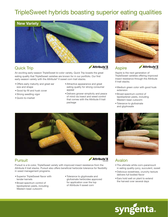## TripleSweet hybrids boasting superior eating qualities



#### Quick Trip

Attribute<sup>®</sup>II

An exciting early-season TripleSweet bi-color variety, Quick Trip boasts the great eating quality that TripleSweet varieties are known for in our portfolio. Our first early-season variety with the Attribute® II sweet corn trait stacks.

- Offers early maturity and great ear size and shape
- Good tip fill and husk cover
- Strong seedling vigor
- Quick-to-market
- Attractive appearance and great eating quality for strong consumer appeal
- Delivers grower simplicity and peace of mind via insect and weed control that comes with the Attribute II trait package



#### Pursuit

Pursuit is a bi-color, TripleSweet variety with improved insect resistance from the Attribute II trait stacks. Pursuit also offers beneficial herbicide tolerance for flexibility in weed management programs.

- Superior TripleSweet flavor with tender kernels
- •Broad-spectrum control of lepidopteran pests, including Western bean cutworm
- Tolerance to glyphosate and glufosinate herbicides approved for application over the top of Attribute II sweet corn



### **Aspire**



Aspire is the next generation of TripleSweet varieties offering improved insect resistance through the Attribute II trait stacks.

- Medium green color with good husk extension
- •Broad-spectrum control of lepidopteran pests, including Western bean cutworm
- Tolerance to glufosinate and glyphosate



### Avalon

- The ultimate white corn–paramount in eating quality–juicy, succulent, sweet
- Delicious sweetness, crunchy texture delivers full bodied flavor
- Ears hold well on plant to extend the harvest over several days

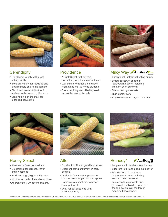

#### **Serendipity**

- TripleSweet variety with great eating quality
- Excellent variety for roadside and local markets and home gardens
- •Bi-colored kernels fill to the tip and are well covered by the husk
- Long holding on the stalk for extended harvesting



#### **Providence**

- A TripleSweet that delivers consistent, long-lasting sweetness
- Well suited for roadside and local markets as well as home gardens
- Produces long, well-filled tapered ears of bi-colored kernels



#### Milky Way Attribute<sup>\*Plus</sup>

- Exceptional TripleSweet eating quality
- •Broad-spectrum control of lepidopteran pests, including Western bean cutworm
- Tolerance to glufosinate
- High-quality ears
- Approximately 82 days to maturity



#### Honey Select

- All-America Selections Winner
- Exceptional tenderness, flavor and sweetness
- Produces large, high-quality ears
- Medium-green husks and good flags
- Approximately 79 days to maturity



#### Alto

- Excellent tip fill and good husk cover
- Excellent stand uniformity in early cold soil
- Desirable flavor and appearance that creates strong consumer appeal
- Earliness to market for increased profit potential
- Only variety of its kind with 72 day maturity



#### Remedy\*



- Long ears with tender, sweet kernels
- Excellent tip fill and good husk cover
- •Broad-spectrum control of lepidopteran pests, including Western bean cutworm
- Tolerance to glyphosate and glufosinate herbicides approved for application over the top of Attribute II sweet corn

\*Under certain stress conditions, Remedy sweet corn may exhibit tassels and or glumes growing out of the ear. Please contact your Syngenta Sales Representative with any questions.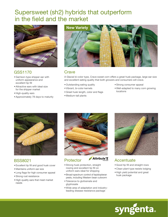## Supersweet (sh2) hybrids that outperform in the field and the market



#### GSS1170 Crave

- Garrison-type shipper ear with uniform appearance and excellent tip fill
- Attractive ears with ideal size for the shipper market
- High-quality ears
- Approximately 78 days to maturity



A Glacial bi-color type, Crave sweet corn offers a great husk package, large ear size and excellent eating quality that both growers and consumers will crave.

- Outstanding eating quality
- Vibrant, bi-color kernels
- Great husk length, color and flags
- Medium-tall plants
- Strong consumer appeal
- Well-adapted to many corn growing locations



#### BSS8021

- Excellent tip fill and good husk cover
- Maintains uniform ear size
- Long flags for high consumer appeal
- Strong rust resistance
- High-quality ears that meet market needs



#### **Protector**



- Strong husk protection, straight rowing and excellent tip fill on uniform ears ideal for shipping
- •Broad-spectrum control of lepidopteran pests, including Western bean cutworm
- Tolerance to glufosinate and glyphosate
- Wide area of adaptation and industryleading disease resistance package



#### **Accentuate**

- Good tip fill and straight rows
- Clean plant type resists lodging
- High yield potential and great husk package

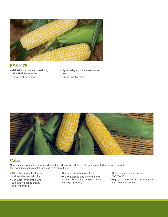

#### BSS1075

- Maintains uniform ear size during fall and winter seasons
- Strong rust resistance
- High-quality ears that meet market needs
- Strong healthy plant



#### Cabo

Offering superior eating quality and excellent adaptability, Cabo is a large augmented supersweet variety that combines consistent 8-inch ears with great tip fill.

- Attractive, strong husk cover and excellent kernel color
- Desirable flavor profile with outstanding eating quality and tenderness
- Sturdy plant with strong tip fill
- Widely adapted and performs well in most corn growing regions when managed properly
- •Reliable uniformity of ear size and rowing
- High yield potential and performance that growers demand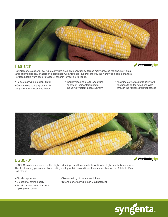

#### **Patriarch**

**Attribute<sup>®</sup>Plus** 

Patriarch offers superior eating quality with excellent adaptability across many growing regions. Built on a large augmented sh2 chassis and combined with Attribute Plus trait stacks, this variety is a game changer. For less hassle from seed to tassel, Patriarch is your go-to variety.

- •Robust ear with excellent tip fill
- Outstanding eating quality with superior tenderness and flavor
- Industry leading broad-spectrum control of lepidopteran pests, including Western bean cutworm
- Allowance of herbicide flexibility with tolerance to glufosinate herbicides through the Attribute Plus trait stacks



#### BSS0761



BSS0761 is a fresh variety ideal for high-end shipper and local markets looking for high-quality, bi-color ears. This fresh variety pairs exceptional eating quality with improved insect resistance through the Attribute Plus trait stacks.

- Stylish shipper ear
- Exceptional eating quality
- •Built-in protection against key lepidopteran pests
- Tolerance to glufosinate herbicides
- Strong performer with high yield potential

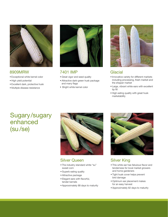

#### 8909MRW

- Exceptional white kernel color
- High yield potential
- Excellent dark, protective husk
- Multiple disease resistance



#### 7401 IMP

- Great vigor and seed quality
- Attractive dark-green husk package and many flags
- Bright white kernel color



### **Glacial**

- Innovative variety for different markets including processing, fresh market and the shipper market
- Large, vibrant white ears with excellent tip fill
- High eating quality with great husk marketability

## Sugary/sugary enhanced (su /se)



#### Silver Queen

- The industry standard white "su" sweet corn
- Superb eating quality
- Attractive package
- Elegant ears with flavorful, tender kernels
- Approximately 88 days to maturity



### Silver King

- This white ear has fabulous flavor and tenderness for local market growers and home gardeners
- Tight husk cover helps prevent bird damage
- Optimum ear placement makes for an easy harvest
- Approximately 82 days to maturity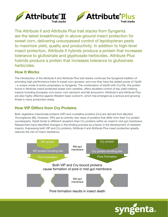



The Attribute II and Attribute Plus trait stacks from Syngenta are the latest breakthrough in above-ground insect protection for sweet corn, delivering unsurpassed control of lepidopteran pests to maximize yield, quality and productivity. In addition to high-level insect protection, Attribute II hybrids produce a protein that increases tolerance to glufosinate and glyphosate herbicides. Attribute Plus hybrids produce a protein that increases tolerance to glufosinate herbicides.

#### How It Works

The introduction of the Attribute II and Attribute Plus trait stacks continues the Syngenta tradition of providing high-performance traits to sweet corn growers, and now they have the added power of Vip3A – a unique mode of action proprietary to Syngenta. The combination of Vip3A with Cry1Ab, the protein found in Attribute insect-protected sweet corn varieties, offers excellent control of key yield-robbing insects including European corn borer, corn earworm and fall armyworm. Attribute II and Attribute Plus are also highly effective against Western bean cutworm, which has emerged as a serious and growing threat in many production areas.

#### How VIP Differs from Cry Proteins

Both vegetative insecticidal proteins (VIP) and crystalline proteins (Cry) are derived from *Bacillus Thuringiensis* (Bt). However, VIPs are an entirely new class of proteins that differ from their Cry protein counterparts. Vip3A binds to different receptors than Cry proteins within an insect's mid-gut membrane. Researchers have identified changes in the binding process as a factor in the development of resistant insects. Expressing both VIP and Cry proteins, Attribute II and Attribute Plus insect protection greatly reduces the risk of insect resistance.



Pore formation results in insect death

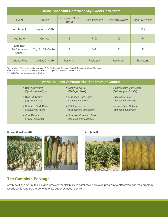| <b>Broad-Spectrum Control of Key Sweet Corn Pests</b>      |                   |                                               |           |               |                      |  |  |  |
|------------------------------------------------------------|-------------------|-----------------------------------------------|-----------|---------------|----------------------|--|--|--|
| Event                                                      | Protein           | European Corn<br>Corn Earworm<br><b>Borer</b> |           | Fall Armyworm | <b>Black Cutworm</b> |  |  |  |
| Attribute II                                               | Vip3A, Cry1Ab     | Ε                                             | Ε         | Ε             | VG                   |  |  |  |
| Attribute                                                  | Cry1Ab            | E<br>$F-G$                                    |           | G             | P                    |  |  |  |
| Seminis <sup>®</sup><br>Performance<br>Series <sup>™</sup> | Cry1A.105, Cry2Ab | Е                                             | VG        | Ε             | P                    |  |  |  |
| Attribute Plus*                                            | Vip3A, Cry1Ab     | Resistant                                     | Resistant | Resistant     | Resistant            |  |  |  |

Control rating: E= excellent, VG= very good, F-G= fair to good, G= good, F=fair, P-F= poor to fair, and P= poor. Source: K. Flanders, et al. University of Alabama Cooperative Extension System 2010 \*Attribute Plus was not evaluated in this trial.

#### Attribute II and Attribute Plus Spectrum of Control

- Beet Armyworm (*Spodoptera exigua*)
- Black Cutworm (*Agrotis ipsilon*)
- Common Stalk Borer (*Papaipema nebris*)
- Corn Earworm (*Helicoverpa zea*)
- Dingy Cutworm (*Feltia jaculifera*)
- European Corn Borer (*Ostrinia nubilalis*)
- Fall Armyworm (*Spodoptera frugiperda*)
- Southern Cornstalk Borer (*Diatraea crambidoides*)
- Southwestern Corn Borer (*Diatraea grandiosella*)
- Sugarcane Borer (*Diatraea saccharalis*)
- Western Bean Cutworm (*Striacosta albicosta*)

#### **Conventional non-Bt** Attribute II and Attribute II and Attribute II and Attribute II



Source: G. Dively, University of Maryland, 2007-2010.



Dively, University of Maryland, 2007-2010.

#### The Complete Package

Attribute II and Attribute Plus give growers the flexibility to cater their herbicide program to effectively address problem weeds while reaping the benefits of its superior insect control.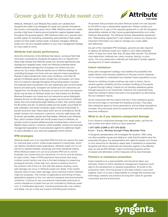## Grower guide for Attribute sweet corn



Attribute, Attribute II, and Attribute Plus sweet corn varieties from Syngenta are viable crop strategies for sweet corn growers throughout the country. Commercially grown since 1998, Attribute sweet corn seeds provide a high level of above-ground protection against targeted pests throughout the growing season. With Attribute sweet corn, growers have another option for harvesting outstanding yield potential of high-quality sweet corn that meets market needs. If properly managed, Attribute sweet corn can be a valuable addition to your crop management strategy for many years to come.

#### Attribute trait stacks performance

Since the introduction of the Attribute trait stacks, numerous field trials have been conducted by Syngenta throughout the U.S. Results from these trials indicate that Attribute sweet corn showed significantly less damage from targeted pests, while non-Attribute protected plants suffered extensive damage from European corn borers and corn earworms. As a result, Attribute hybrids are an effective strategy for controlling European corn borer and corn earworm insect populations. Results to date indicate that under most conditions, more than 95 percent of Attribute plants remain virtually free of European corn borer and corn earworm damage throughout the growing season; however, the expected level of protection can vary depending upon environmental factors and seed purity. European corn borers and corn earworms can migrate from non-Bt plant to Bt plants, so some corn borer and earworm larvae may be seen on Attribute sweet corn that borders non-Bt fields. Because European corn borers and corn earworms cannot distinguish between Bt and non-Bt hybrids, egg masses may be found on Attribute plants. But once small larvae begin feeding on them, they quickly ingest the Bt protein and die. To optimize yields and ear quality, scout fields for pest outbreaks, and where necessary, apply chemical insecticides to prevent economic loss. Insect pests which are not controlled by this Bt protein include: corn rootworms, cutworms, common stalk borers, silk fly larvae, sap beetles, aphids and flea beetles. Attribute II and Attribute Plus, which combine Vip3A with the Bt protein found in Attribute, do provide control of several additional pests including black cutworm and Western bean cutworm. However, where possible, consult your area pest management specialists or local extension agents for additional insight on pest outbreaks in your area and suggested control options.

#### IPM strategies

Attribute sweet corn is an important IPM tool that can reduce the need for chemical pest control. Unlike broad-spectrum insecticides, which can destroy beneficial insect populations, Attribute sweet corn is not harmful to ladybird beetles, lacewings and other beneficial insects. While Attribute sweet corn can be a powerful IPM tool to control European corn borers and corn earworms, it is not an end-all solution for pest control. Years of IPM experience have shown that using multiple-control tactics over time is the best strategy for preserving ecological diversity. Under high corn-earworm pressure found in the southern half of the U.S. and with late-season planting, some pest damage can occur in Attribute sweet corn fields. If the market requires close to zero insect damage, some chemical control methods might be necessary. The number of applications and timing of these applications depend on the corn earworm pressure and environmental conditions. Continue to use conventional insecticides judiciously to control infestations of pests that are not controlled by Attribute sweet corn. A multifaceted approach, including practices like crop rotation and tillage, can go a long way toward controlling pest pressure.

All growers that purchase and plant Attribute sweet corn are required by the EPA to sign a stewardship agreement. Please contact your seed dealer for a copy of the required agreement or visit the Syngenta stewardship website at http://www.syngentastewardship.com under Attribute Stewardship. The Attribute Grower Stewardship Agreement (the "Stewardship Agreement") was created to ensure you receive the important information you need to manage your crops safely and effectively.

As part of the mandated IPM strategies, growers are also required to destroy all Attribute sweet corn stalks in your fields preferably within 14 days but never later than 30 days after harvest. The allowed crop destruction methods are: rotary mowing, discing, or plowdown. The crop destruction methods are intended to protect against development of insect resistance.

#### Insect resistance

Every pest management strategy must address the possibility that target insects could develop resistance to the pest control measures. So it is important to understand how resistant insect populations occur.

Genes for resisting virtually anything may exist in nature, due to random genetic variability and the constant shuffling of thousands of genes through mating. Insects do not develop resistance genes through exposure to an insecticide. However, the insecticide does select the resistant insects that exist in the population by eliminating the non-resistant insects.

As the insecticide kills the insects that don't have resistance genes, the survivors begin to dominate the breeding process. They pass their resistance genes to future generations, and as these populations increase, they eventually become predominant and the insecticide becomes ineffective.

#### What to do if you observe unexpected damage

If you observe unexpected damage from target pests, call this toll free number and report what you have observed.

#### 1-877-GRO-CORN (1-877-476-2676) 8 a.m. – 5 p.m., Monday through Friday, Mountain Time

A Syngenta representative will investigate the situation. After ruling out other possible causes and testing to verify that the plants carry the proprietary Bt gene, the representative will collect European corn borers or corn earworms for laboratory assay tests. If resistance is suspected, Syngenta will inform customers and extension agents in the affected area, as well as EPA officials. Insect monitoring programs will be increased and alternative control measures will be recommended.

#### Partners in resistance prevention

Insect resistance is a real possibility and should be taken very seriously. Failure to follow resistance management measures could lead to the development of resistant populations. All levels of the production chain, from the grower to the seed industry, must work together. Each of us has a responsibility to manage this exciting new technology carefully and preserve its long-term value for growers, consumers and the environment.

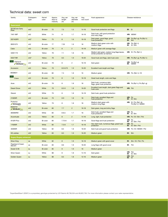#### Technical data: sweet corn

| Variety                              | Endosperm<br>type | Kernel<br>color | Approx.<br>days to<br>maturity | Avg. ear<br>length<br>(in) | Avg. ear<br>diameter<br>(in) | Avg.<br>row count | Husk appearance                                                                | Disease resistance                                    |
|--------------------------------------|-------------------|-----------------|--------------------------------|----------------------------|------------------------------|-------------------|--------------------------------------------------------------------------------|-------------------------------------------------------|
| <b>Supersweet</b>                    |                   |                 |                                |                            |                              |                   |                                                                                |                                                       |
| <b>SS BiColor Early</b><br>Riser     | $sh2*$            | Bi-color        | 72                             | 7.5                        | 1.5                          | $14 - 16$         | Good husk protection and flags                                                 | IR: Et                                                |
| 7401 IMP                             | sh <sub>2</sub>   | White           | 74                             | 8                          | 1.7                          | $16 - 18$         | Dark husk, with good protection<br>and many flags                              | HR: MDMV                                              |
| <b>SS7403RY</b>                      | $sh2*$            | Yellow          | 75                             | 8                          | 1.6                          | $16 - 18$         | Dark green, good flags, good<br>husk protection                                | <b>HR:</b> Ps (Rp1-g), Ps (Rp1-i)<br>IR:<br><b>Bm</b> |
| <b>BSS1075</b>                       | sh <sub>2</sub>   | Bi-color        | 77                             | 7.25                       | 1.9                          | 18                | Medium dark-green color with<br>medium flags                                   | <b>HR:</b> Ps: (Rp1-i)<br>Et/Bm<br>IR:                |
| Cabo                                 | sh <sub>2</sub>   | Bi-color        | 78                             | 8                          | $\overline{2}$               | $16 - 18$         | Medium green with average flags                                                |                                                       |
| GSS1170                              | sh <sub>2</sub>   | Yellow          | 78                             | 7.1                        | 1.8                          | 16                | Medium dark green, medium long flags leaves,<br>similar protection as Garrison | <b>HR:</b> Et / Ps: $(Rp1-i)$                         |
| <b>SS3778R</b>                       | $sh2*$            | Yellow          | 78                             | 8.5                        | 1.9                          | $18 - 20$         | Good husk and flags, dark husk color                                           | <b>HR:</b> Ps (Rp1-g), Ps (Rp1-i)                     |
| NEW Patriarch<br>Attribute Plus      | sh2               | Bi-color        | 78                             | 8                          | $\overline{c}$               | $16 - 18$         | Dark green                                                                     | HR: $Ps$ (Rp1-g)<br>IR: MDMV                          |
| Accession                            | sh <sub>2</sub>   | Yellow          | 78                             | $8.5 - 8.75$               | 1.9                          | $16 - 20$         | Excellent husk length and flags                                                |                                                       |
| <b>BSS8021</b>                       | sh <sub>2</sub>   | Bi-color        | 80                             | 7.3                        | 1.8                          | 16                | Medium green                                                                   | <b>HR:</b> Ps: (Rp1-i) / Et                           |
| NEW<br>Crave                         | sh <sub>2</sub>   | Bi-color        | 78                             | 8                          | 1.8                          | $16 - 18$         | Great husk length, color and flags                                             |                                                       |
| Aces                                 | sh <sub>2</sub>   | Bi-color        | 78                             | 8                          | 1.8                          | 18                | Dark husk, numerous dark<br>flags, great husk protection                       | <b>HR:</b> Ps (Rp1-i), Ps (Rp1-g)                     |
| <b>Desert Snow</b>                   | sh <sub>2</sub>   | White           | 78                             | $8.5 - 9$                  | 1.8                          | $16 - 20$         | Excellent husk length, dark green flags and<br>husk color                      | HR: Pst                                               |
| Glacial                              | sh <sub>2</sub>   | White           | 79                             | 8                          | 1.8                          | 16-18             | Dark husk, good husk protection                                                |                                                       |
| 2182MR                               | sh <sub>2</sub>   | Bi-color        | 79                             | $8 - 9$                    | 1.8                          | 18                | Dark husk, excellent flags and<br>husk protection                              | HR: Ps<br>Et / Bm<br>IR:                              |
| Protector<br>Attribute' <sup>1</sup> | sh <sub>2</sub>   | Yellow          | 79                             | 8                          | 1.8                          | 18                | Medium-dark green with<br>medium-long flags                                    | <b>HR:</b> Et / Ps: (Rp1-d),<br>Ps (Rp1-i) / MDMV     |
| <b>BSS0761</b><br>Attribute Plus     | sh <sub>2</sub>   | Bi-color        | 80                             | 7.7                        | $\overline{c}$               | $16 - 18$         | Dark green, long and shiny flags                                               | $\overline{\phantom{a}}$                              |
| 8909MRW                              | sh <sub>2</sub>   | White           | 80                             | $8 - 8.5$                  | 1.7                          | 18                | Dark husk, excellent flags and<br>husk protection                              | HR: Ps<br>Et / Bm<br>IR:                              |
| Accentuate                           | sh <sub>2</sub>   | Yellow          | 80                             | 8                          | $\overline{2}$               | $14 - 16$         | Long, tight, husk protection                                                   | HR: Ps / Et / Bm / Pst                                |
| 8102R Plus                           | sh <sub>2</sub>   | Bi-color        | 80                             | $7.75 - 8$                 | 1.7                          | $16-18$           | Good flags and husk protection                                                 | HR: Ps<br>Et / Bm / Pst<br>IR:                        |
| 1760MR                               | sh <sub>2</sub>   | White           | 80                             | $7.5 - 8$                  | 1.7                          | $16 - 18$         | Very dark husk, numerous flags, great husk<br>protection                       | HR: Ps<br>Et / Bm / Pst<br>IR:                        |
| 3590MR                               | sh <sub>2</sub>   | Yellow          | 82                             | 8.5                        | 1.8                          | 18-20             | Dark husk and good husk protection                                             | HR: Ps / Et / MDMV / Pst                              |
| <b>SS Jubilee</b>                    | sh <sub>2</sub>   | Yellow          | 83                             | 8.5                        | 1.9                          | $16 - 20$         | Medium green                                                                   | IR: Bm                                                |
| <b>Sugary/Sugary enhanced</b>        |                   |                 |                                |                            |                              |                   |                                                                                |                                                       |
| <b>Silver King</b>                   | se                | White           | 82                             | 8                          | 1.9                          | $16 - 18$         | Medium green with good cover                                                   | IR:<br>Bm / Et / Pst / Ps                             |
| Peaches & Cream<br>Mid EH            | se                | Bi-color        | 83                             | 8.6                        | 1.9                          | 18-20             | Long flags with good cover                                                     | IR:<br>Pst                                            |
| Sweet G 90                           | su                | Bi-color        | 85                             | $\boldsymbol{9}$           | 1.9                          | 16                | Medium green                                                                   |                                                       |
| Silver Queen                         | su                | White           | 88                             | 8                          | 1.8                          | 14-16             | Dark green                                                                     | HR: Pst<br>IR:<br>Et / Bm                             |
| <b>Golden Queen</b>                  | su                | Yellow          | 88                             | 8.5                        | 1.8                          | $12 - 16$         | Medium green                                                                   | <b>HR: Pst</b><br>IR:<br>Et                           |

\*SuperSeedWare® (SSW®) is a proprietary genotype protected by US Patents #8,796,504 and #8,822,756. For more information please contact your sales representative.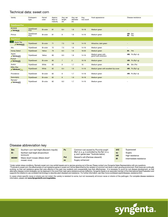#### Technical data: sweet corn

| Variety                                  | Endosperm<br>type                 | Kernel<br>color | Approx.<br>days to<br>maturity | Avg. ear<br>length<br>(in) | Avg. ear<br>diameter<br>(in) | Avg.<br>row count | Husk appearance                          | Disease resistance       |  |
|------------------------------------------|-----------------------------------|-----------------|--------------------------------|----------------------------|------------------------------|-------------------|------------------------------------------|--------------------------|--|
| <b>TripleSweet Plus</b>                  |                                   |                 |                                |                            |                              |                   |                                          |                          |  |
| <b>BC0528</b><br>Attribute               | <b>TripleSweet</b><br><b>Plus</b> | Bi-color        | 81                             | 8.4                        | 1.8                          | $16 - 18$         | Medium green                             | $\overline{\phantom{a}}$ |  |
| Primus                                   | <b>TripleSweet</b><br>Plus        | Bi-color        | 81                             | 8                          | 1.8                          | $14 - 16$         | Medium green                             | HR: Bm<br>IR:<br>Pst     |  |
| <b>TripleSweet</b>                       |                                   |                 |                                |                            |                              |                   |                                          |                          |  |
| NEW<br><b>Quick Trip</b><br>Attribute II | <b>TripleSweet</b>                | Bi-color        | 71                             | 7.5                        | 1.8                          | $14 - 16$         | Attractive, dark green                   | $\overline{\phantom{a}}$ |  |
| Alto                                     | <b>TripleSweet</b>                | Bi-color        | 72                             | 7.5                        | 1.8                          | $14 - 16$         | Medium green                             | $\overline{\phantom{a}}$ |  |
| <b>Honey Select</b>                      | <b>TripleSweet</b>                | Yellow          | 79                             | 8.5                        | 1.9                          | $18 - 20$         | Medium green                             | IR:<br>Pst               |  |
| Aspire<br>Attribute'                     | <b>TripleSweet</b>                | Yellow          | 80                             | 8.5                        | 1.8                          | $14 - 16$         | Medium green with<br>good husk extension | $HR: Ps(Rp1-d)$          |  |
| Pursuit<br>Attribute'                    | <b>TripleSweet</b>                | Bi-color        | 80                             | $\overline{7}$             | $\overline{2}$               | $16 - 18$         | Medium green                             | $HR: Ps(Rp1-g)$          |  |
| Avalon                                   | <b>TripleSweet</b>                | White           | 82                             | 8                          | 1.7                          | 16                | Medium green                             | IR:<br>Bm /Pst           |  |
| Milky Way<br><b>Attribute Plus</b>       | <b>TripleSweet</b>                | White           | 82                             | 8.4                        | 1.8                          | $14 - 16$         | Medium green with excellent tip cover    | $HR: Ps(Rp1-g)$          |  |
| Providence                               | TripleSweet                       | Bi-color        | 82                             | 8                          | 1.7                          | $14 - 18$         | Medium green                             | $HR: Ps(Rp1-d)$          |  |
| Serendipity                              | <b>TripleSweet</b>                | Bi-color        | 82                             | 8                          | 1.8                          | $16 - 18$         | Medium green                             | $\overline{\phantom{a}}$ |  |
| Remedy*<br>Attribute' <sup>1</sup>       | <b>TripleSweet</b>                | Bi-color        | 82                             | 8.5                        | 1.7                          | $14 - 16$         | Medium green                             |                          |  |

#### Disease abbreviation key

| <b>Bm</b>   | Southern corn leaf blight (Bipolaris maydis) | Ps  | Common rust caused by Puccinia sorghi                                                 | sh <sub>2</sub> | Supersweet              |
|-------------|----------------------------------------------|-----|---------------------------------------------------------------------------------------|-----------------|-------------------------|
| Et          | Northern leaf blight (Exserohilum            |     | (Rp1-d, e, g, i) controlled by the Rp1-d, e,<br>g, and i genes (see **footnote below) | su              | Sugary                  |
|             | turcicum)                                    |     |                                                                                       | <b>HR</b>       | High resistance         |
| <b>MDMV</b> | Maize dwarf mosaic (Maize dwarf              | Pst | Stewart's wilt (Pantoea stewartii)                                                    | <b>IR</b>       | Intermediate resistance |
|             | mosaic virus)                                | se  | Sugary enhanced                                                                       |                 |                         |

\*Under certain stress conditions, Remedy sweet com may exhibit tassels and or glumes growing out of the ear. Please contact your Syngenta Sales Representative with any questions.<br>\*"Footnote to sweet com: the effectiveness

In cases where specific races or strains are not noted, the variety is resistant to some, but not necessarily all known races or strains of the pathogen. For complete disease resistance<br>information, please visit **www.Synge** 

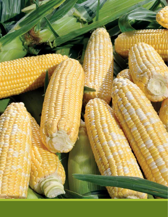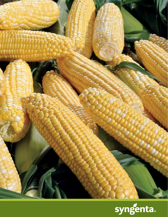